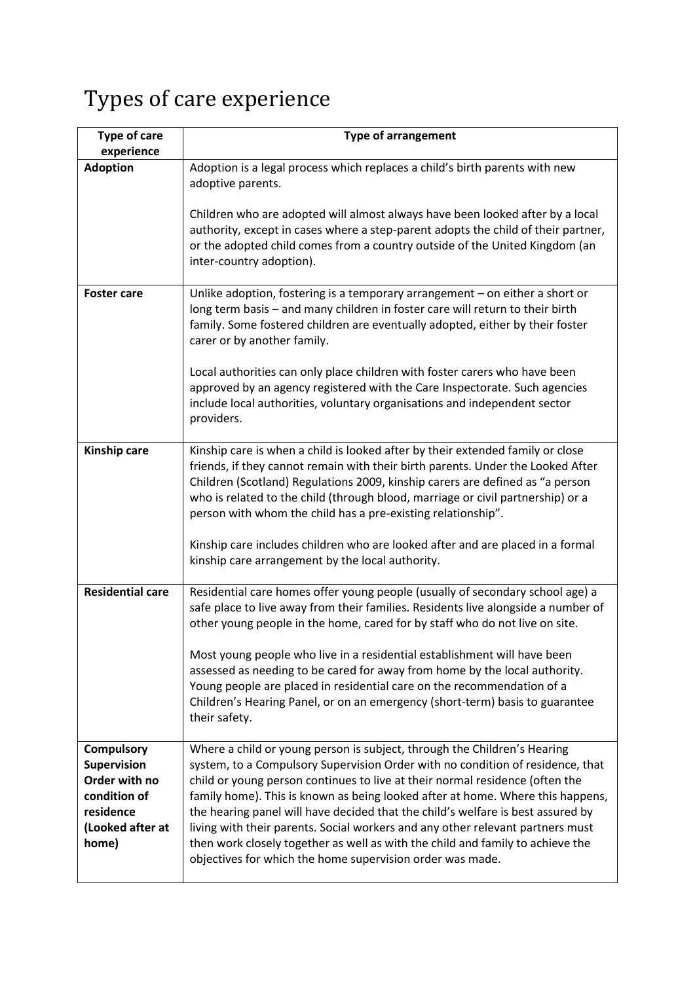## Types of care experience

| <b>Type of care</b><br>experience                                                                                  | <b>Type of arrangement</b>                                                                                                                                                                                                                                                                                                                                                                                                                                                                                                                                                                                                                       |
|--------------------------------------------------------------------------------------------------------------------|--------------------------------------------------------------------------------------------------------------------------------------------------------------------------------------------------------------------------------------------------------------------------------------------------------------------------------------------------------------------------------------------------------------------------------------------------------------------------------------------------------------------------------------------------------------------------------------------------------------------------------------------------|
| <b>Adoption</b>                                                                                                    | Adoption is a legal process which replaces a child's birth parents with new<br>adoptive parents.                                                                                                                                                                                                                                                                                                                                                                                                                                                                                                                                                 |
|                                                                                                                    | Children who are adopted will almost always have been looked after by a local<br>authority, except in cases where a step-parent adopts the child of their partner,<br>or the adopted child comes from a country outside of the United Kingdom (an<br>inter-country adoption).                                                                                                                                                                                                                                                                                                                                                                    |
| <b>Foster care</b>                                                                                                 | Unlike adoption, fostering is a temporary arrangement $-$ on either a short or<br>long term basis - and many children in foster care will return to their birth<br>family. Some fostered children are eventually adopted, either by their foster<br>carer or by another family.                                                                                                                                                                                                                                                                                                                                                                  |
|                                                                                                                    | Local authorities can only place children with foster carers who have been<br>approved by an agency registered with the Care Inspectorate. Such agencies<br>include local authorities, voluntary organisations and independent sector<br>providers.                                                                                                                                                                                                                                                                                                                                                                                              |
| Kinship care                                                                                                       | Kinship care is when a child is looked after by their extended family or close<br>friends, if they cannot remain with their birth parents. Under the Looked After<br>Children (Scotland) Regulations 2009, kinship carers are defined as "a person<br>who is related to the child (through blood, marriage or civil partnership) or a<br>person with whom the child has a pre-existing relationship".<br>Kinship care includes children who are looked after and are placed in a formal                                                                                                                                                          |
|                                                                                                                    | kinship care arrangement by the local authority.                                                                                                                                                                                                                                                                                                                                                                                                                                                                                                                                                                                                 |
| <b>Residential care</b>                                                                                            | Residential care homes offer young people (usually of secondary school age) a<br>safe place to live away from their families. Residents live alongside a number of<br>other young people in the home, cared for by staff who do not live on site.                                                                                                                                                                                                                                                                                                                                                                                                |
|                                                                                                                    | Most young people who live in a residential establishment will have been<br>assessed as needing to be cared for away from home by the local authority.<br>Young people are placed in residential care on the recommendation of a<br>Children's Hearing Panel, or on an emergency (short-term) basis to guarantee<br>their safety.                                                                                                                                                                                                                                                                                                                |
| <b>Compulsory</b><br><b>Supervision</b><br>Order with no<br>condition of<br>residence<br>(Looked after at<br>home) | Where a child or young person is subject, through the Children's Hearing<br>system, to a Compulsory Supervision Order with no condition of residence, that<br>child or young person continues to live at their normal residence (often the<br>family home). This is known as being looked after at home. Where this happens,<br>the hearing panel will have decided that the child's welfare is best assured by<br>living with their parents. Social workers and any other relevant partners must<br>then work closely together as well as with the child and family to achieve the<br>objectives for which the home supervision order was made. |